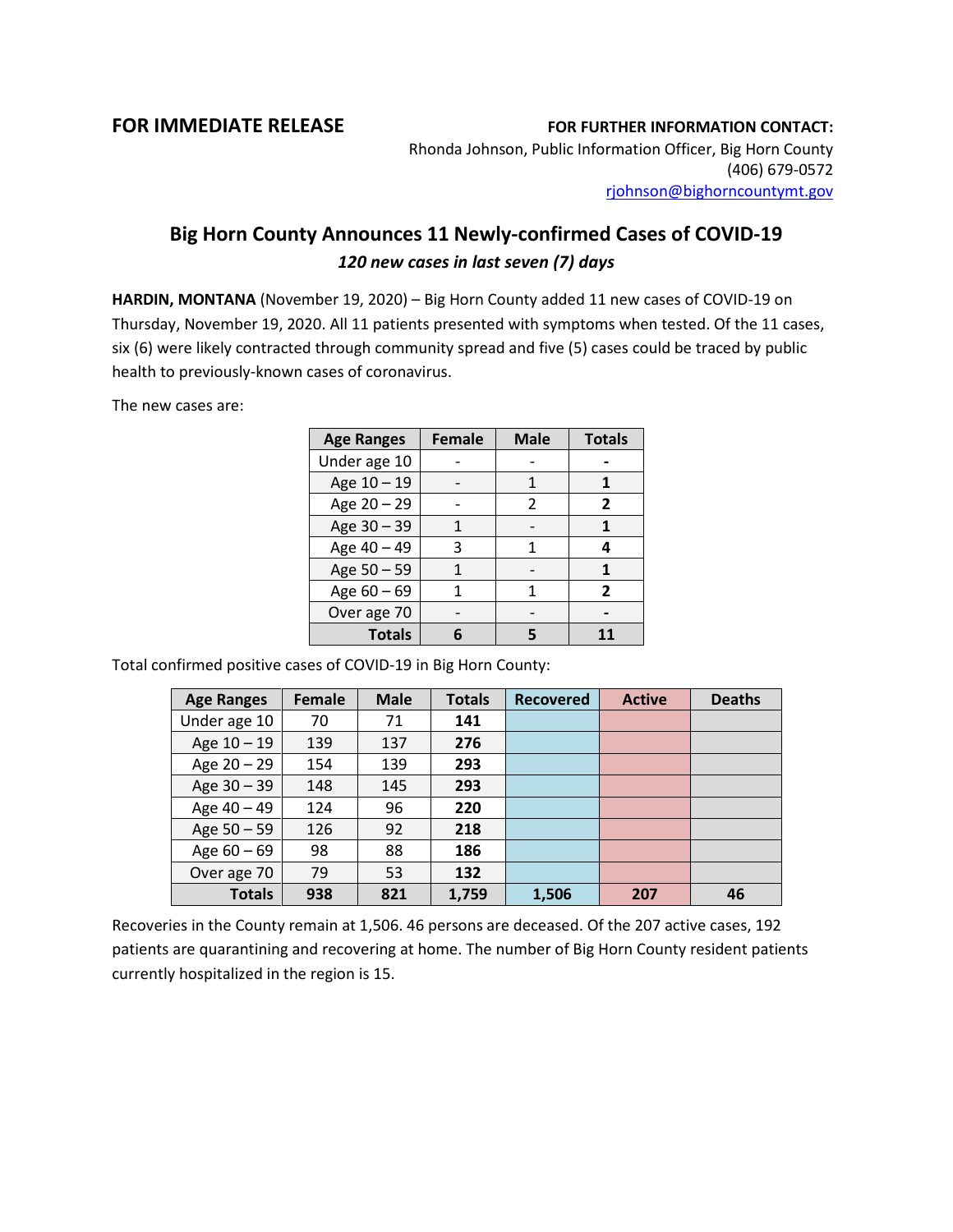## **FOR IMMEDIATE RELEASE FOR FURTHER INFORMATION CONTACT:**

Rhonda Johnson, Public Information Officer, Big Horn County (406) 679-0572 [rjohnson@bighorncountymt.gov](mailto:rjohnson@bighorncountymt.gov)

## **Big Horn County Announces 11 Newly-confirmed Cases of COVID-19** *120 new cases in last seven (7) days*

**HARDIN, MONTANA** (November 19, 2020) – Big Horn County added 11 new cases of COVID-19 on Thursday, November 19, 2020. All 11 patients presented with symptoms when tested. Of the 11 cases, six (6) were likely contracted through community spread and five (5) cases could be traced by public health to previously-known cases of coronavirus.

The new cases are:

| <b>Age Ranges</b> | <b>Female</b> | <b>Male</b> | <b>Totals</b>  |
|-------------------|---------------|-------------|----------------|
| Under age 10      |               |             |                |
| Age 10 - 19       |               |             |                |
| Age 20 - 29       |               | 2           | $\overline{2}$ |
| Age 30 - 39       |               |             | 1              |
| Age 40 - 49       | 3             |             | 4              |
| Age 50 - 59       |               |             |                |
| Age 60 - 69       |               |             | $\mathbf{z}$   |
| Over age 70       |               |             |                |
| <b>Totals</b>     |               |             |                |

Total confirmed positive cases of COVID-19 in Big Horn County:

| <b>Age Ranges</b> | Female | <b>Male</b> | <b>Totals</b> | <b>Recovered</b> | <b>Active</b> | <b>Deaths</b> |
|-------------------|--------|-------------|---------------|------------------|---------------|---------------|
| Under age 10      | 70     | 71          | 141           |                  |               |               |
| Age $10 - 19$     | 139    | 137         | 276           |                  |               |               |
| Age $20 - 29$     | 154    | 139         | 293           |                  |               |               |
| Age 30 - 39       | 148    | 145         | 293           |                  |               |               |
| Age 40 - 49       | 124    | 96          | 220           |                  |               |               |
| Age 50 - 59       | 126    | 92          | 218           |                  |               |               |
| Age $60 - 69$     | 98     | 88          | 186           |                  |               |               |
| Over age 70       | 79     | 53          | 132           |                  |               |               |
| <b>Totals</b>     | 938    | 821         | 1,759         | 1,506            | 207           | 46            |

Recoveries in the County remain at 1,506. 46 persons are deceased. Of the 207 active cases, 192 patients are quarantining and recovering at home. The number of Big Horn County resident patients currently hospitalized in the region is 15.